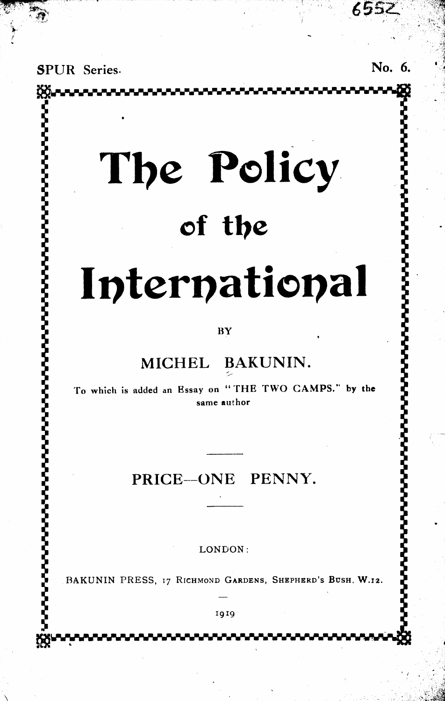

?8t'

# Tbe Policy of the

 $65S$ 

*P. S. P. B.*  $t_{\rm obs}$  ,  $\Delta t_{\rm obs}$ 

## International

BY

### MICHEL BAKUNIN.

To which is added an Essay on ''THE TWO GAMPS." by the same author

#### PRICE—ONE PENNY.

LONDON:

BAKUNIN PRESS, 17 RICHMOND GARDENS, SHEPHERD'S BUSH. W.12.

1919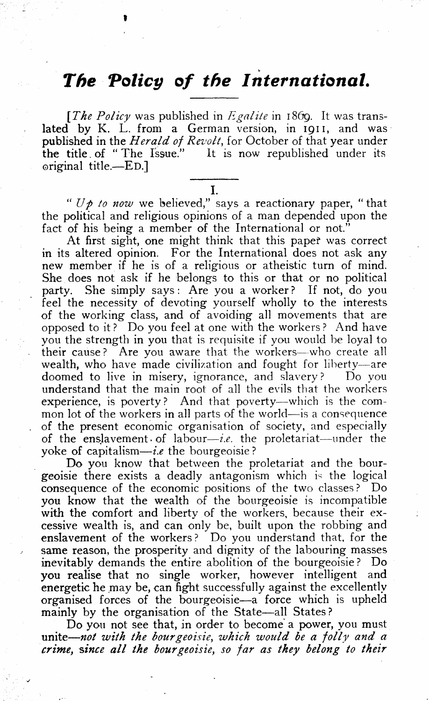## The Policy of the International.

[The Policy was published in Egalite in 1869. It was translated by K. L. from a German version, in 1911, and was published in the Herald of Revolt, for October of that year under the title . of " The Issue." It is now republished under its original title. Ed.]

"  $U\phi$  to now we believed," says a reactionary paper, "that the political and religious opinions of a man depended upon the fact of his being a member of the International or not."

At first sight, one might think that this papef was correct in its altered opinion. For the International does not ask any new member if he is of a religious or atheistic turn of mind. She does not ask if he belongs to this or that or no political party. She simply says: Are you a worker? If not, do you feel the necessity of devoting yourself wholly to the interests of the working class, and of avoiding all movements that are opposed to it? Do you feel at one with the workers ? And have you the strength in you that is requisite if you would be loyal to their cause ? Are you aware that the workers—who create all wealth, who have made civilization and fought for liberty—are doomed to live in misery, ignorance, and slavery ? Do you understand that the main root of all the evils that the workers experience, is poverty? And that poverty—which is the common lot of the workers in all parts of the world—is a consequence of the present economic organisation of society, and especially of the enslavement of labour—*i.e.* the proletariat—under the yoke of capitalism—*i.e* the bourgeoisie?

Do you know that between the proletariat and the bourgeoisie there exists a deadly antagonism which is the logical consequence of the economic positions of the two classes? Do you know that the wealth of the bourgeoisie is incompatible with the comfort and liberty of the workers, because their excessive wealth is, and can only be, built upon the robbing and enslavement of the workers? Do you understand that, for the same reason, the prosperity and dignity of the labouring masses inevitably demands the entire abolition of the bourgeoisie ? Do you realise that no single worker, however intelligent and energetic he may be, can fight successfully against the excellently organised forces of the bourgeoisie—<sup>a</sup> force which is upheld mainly by the organisation of the State—all States?

Do you not see that, in order to become <sup>a</sup> power, you must unite not with the bourgeoisie, which would be a folly and a crime, since all the bourgeoisie, so far as they belong to their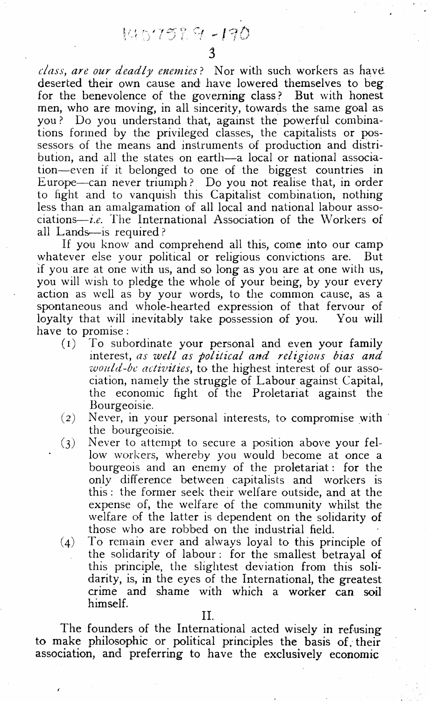class, are our deadly enemies? Nor with such workers as have deserted their own cause and have lowered themselves to beg for the benevolence of the governing class? But with honest men, who are moving, in all sincerity, towards the same goal as you? Do you understand that, against the powerful combinations formed by the privileged classes, the capitalists or possessors of the means and instruments of production and distri bution, and all the states on earth—<sup>a</sup> local or national association—even if it belonged to one of the biggest countries in Europe—can never triumph? Do you not realise that, in order to fight and to vanquish this Capitalist combination, nothing less than an amalgamation of all local and national labour associations—*i.e*. The International Association of the Workers of all Lands—is required?

If you know and comprehend all this, come into our camp whatever else your political or religious convictions are. if you are at one with us, and so long as you are at one with us, you will wish to pledge the whole of your being, by your every action as well as by your words, to the common cause, as a spontaneous and whole-hearted expression of that fervour of loyalty that will inevitably take possession of you. You will have to promise :

- $(i)$  To subordinate your personal and even your family interest, as well as political and religious bias and would-be activities, to the highest interest of our association, namely the struggle of Labour against Capital, the economic fight of the Proletariat against the Bourgeoisie.
- $(2)$  Never, in your personal interests, to compromise with the bourgeoisie.
- (3) Never to attempt to secure a position above your fel low workers, whereby you would become at once a bourgeois and an enemy of the proletariat : for the only difference between capitalists and workers is this : the former seek their welfare outside, and at the expense of, the welfare of the community whilst the welfare of the latter is dependent on the solidarity of those who are robbed on the industrial held.
- (4) To remain ever and always loyal to this principle of the solidarity of labour : for the smallest betrayal of this principle, the slightest deviation from this soli darity, is, in the eyes of the International, the greatest crime and shame with which a worker can soil himself.

11.

The founders of the International acted wisely in refusing to make philosophic or political principles the basis of . their association, and preferring to have the exclusively economic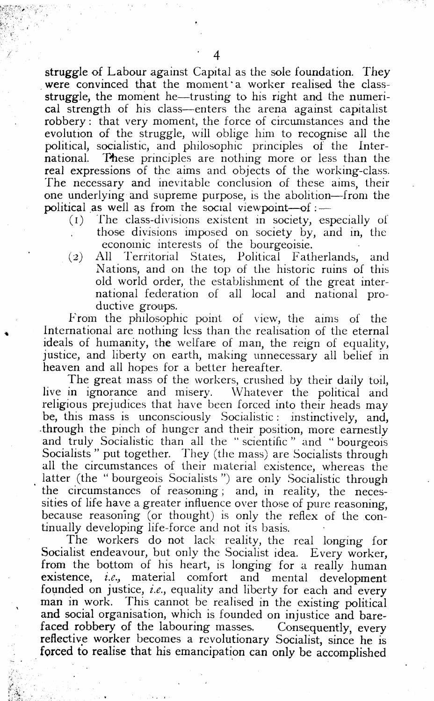struggle of Labour against Capital as the sole foundation. They were convinced that the moment a worker realised the classstruggle, the moment he—trusting to his right and the numerical strength of his class—enters the arena against capitalist robbery: that very moment, the force of circumstances and the evolution of the struggle, will oblige him to recognise all the political, socialistic, and philosophic principles of the Inter national. These principles are nothing more or less than the real expressions of the aims and objects of the working-class. The necessary and inevitable conclusion of these aims, their one underlying and supreme purpose, isthe abohtion—from the political as well as from the social viewpoint—of :—<br>(1) The class-divisions existent in society, est

- The class-divisions existent in society, especially of those divisions imposed on society by, and in, the economic interests of the bourgeoisie.
- (2) All Territorial States, Political Fatherlands, and Nations, and on the top of the historic ruins of this old world order, the establishment of the great inter national federation of all local and national pro ductive groups.

From the philosophic point of view, the aims of the International are nothing less than the reahsation of the eternal ideals of humanity, the welfare of man, the reign of equality, justice, and liberty on earth, making unnecessary all belief in heaven and all hopes for a better hereafter.

The great mass of the workers, crushed by their daily toil, live in ignorance and misery. Whatever the political and religious prejudices that have been forced into their heads may be, this mass is unconsciously Socialistic : instinctively, and, -through the pinch of hunger and their position, more earnestly and truly Socialistic than all the " scientific " and " bourgeois Socialists " put together. They (the mass) are Socialists through all the circumstances of their material existence, whereas the latter (the " bourgeois Socialists ") are only Socialistic through the circumstances of reasoning ; and, in reality, the necessities of life have a greater influence over those of pure reasoning, because reasoning (or thought) is only the reflex of the continually developing life-force and not its basis.

The workers do not lack reality, the real longing for Socialist endeavour, but only the Socialist idea. Every worker, from the bottom of his heart, is longing for a really human existence, *i.e.*, material comfort and mental development founded on justice, *i.e.*, equality and liberty for each and every man in work. This cannot be realised in the existing political and social organisation, which is founded on injustice and barefaced robbery of the labouring masses. Consequently, every reflective worker becomes a revolutionary Socialist, since he is forced to realise that his emancipation can only be accomplished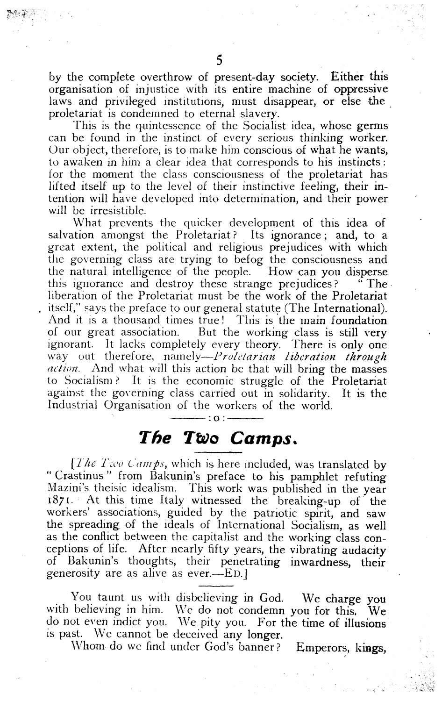by the complete overthrow of present-day society. Either this organisation of injustice with its entire machine of oppressive laws and privileged institutions, must disappear, or else the proletariat is condemned to eternal slavery.

This is the quintessence of the Socialist idea, whose germs can be found in die instinct of every serious thinking worker. Our object, therefore, is to make him conscious of what he wants, to awaken in him a clear idea that corresponds to his instincts: for the moment the class consciousness of the proletariat has lifted itself up to the level of their instinctive feeling, their in tention will have developed into determination, and their power Will be irresistible.

What prevents the quicker development of this idea of salvation amongst the Proletariat? Its ignorance; and, to a great extent, the political and religious prejudices with which the governing class are trying to befog the consciousness and the natural intelligence of the people. How can you disperse this ignorance and destroy these strange prejudices? "The liberation of the Proletariat must be the work of the Proletariat itself," says the preface to our general statute (The International). And it is a thousand times true! This is the main foundation of our great association. But the working class is still very But the working class is still very ignorant. It lacks completely every theory. There is only one way out therefore, namely—*Proletarian liberation through* action. And what will this action be that will bring the masses to Socialism ? It is the economic struggle of the Proletariat against the governing class carried out in solidarity. It is the Industrial Organisation of the workers of the world.

### The Two Camps.

 $-$  : o  $\cdot$  -

[The Two Camps, which is here included, was translated by " Crastinus " from Bakunin's preface to his pamphlet refuting Mazini's theisic idealism. This work was published in the year <sup>1</sup> 87 1. At this time Italy witnessed the breakmg-up of the workers' associations, guided by the patriotic spirit, and saw the spreading, of the ideals of International Socialism, as well as the conflict between the capitalist and the working class conceptions of life. After nearly fifty years, the vibrating audacity of Bakunin's thoughts, their penetrating inwardness, their generosity are as alive as ever.—ED.

You taunt us with disbelieving in God. We charge you with believing in him. We do not condemn you for this. We do not even indict you. We pity you. For the time of illusions is past. We cannot be deceived any longer.

Whom do we find under God's banner? Emperors, kings,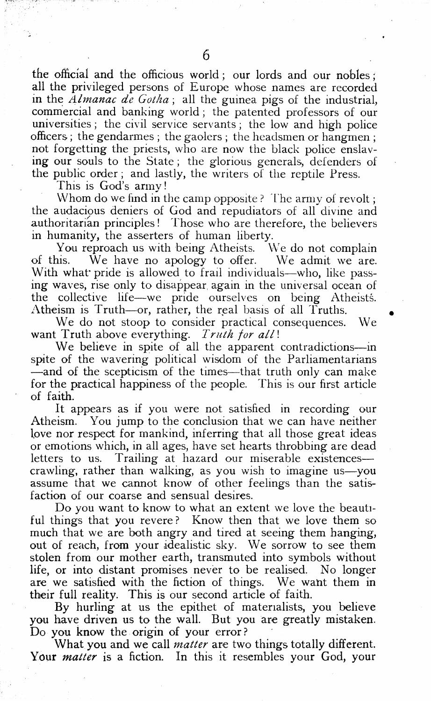the official and the officious world ; our lords and our nobles all the privileged persons of Europe whose names are recorded in the *Almanac de Gotha*; all the guinea pigs of the industrial, commercial and banking world ; the patented professors of our universities ; the civil service servants ; the low and high police officers ; the gendarmes ; the gaolers ; the headsmen or hangmen ; not forgetting the priests, who are now the black police enslaving our souls to the State ; the glorious generals, defenders of the public order ; and lastly, the writers of the reptile Press.

This is God's army!

Whom do we find in the camp opposite? The army of revolt; the audacious deniers of God and repudiators of all divme and authoritarian principles ! Those who are therefore, the believers in humanity, the asserters of human liberty.

You reproach us with being Atheists. We do not complain<br>of this. We have no apology to offer. We admit we are. We have no apology to offer. We admit we are. With what' pride is allowed to frail individuals—who, like pass ing waves, rise only to disappear, again in the universal ocean of the collective life—we pride ourselves on being Atheists. Atheism is Truth—or, rather, the real basis of all Truths.<br>We do not stoop to consider practical consequences. We

We do not stoop to consider practical consequences.<br>want Truth above everything.  $Truth$  for all!

We believe in spite of all the apparent contradictions—in spite of the wavering political wisdom of the Parliamentarians —and of the scepticism of the times—that truth only can make for the practical happiness of the people. This is our first article of faith.

It appears as if you were not satisfied in recording our Atheism. You jump to the conclusion that we can have neither love nor respect for mankind, inferring that all those great ideas or emotions which, in all ages, have set hearts throbbing are dead letters to us. Trailing at hazard our miserable existencescrawling, rather than walking, as you wish to imagine us—you assume that we cannot know of other feelings than the satis faction of our coarse and sensual desires.

Do you want to know to what an extent we love the beautiful things that you revere? Know then that we love them so much that we are both angry and tired at seeing them hanging, out of reach, from your idealistic sky. We sorrow to see them stolen from our mother earth, transmuted into symbols without life, or into distant promises never to be realised. No longer are we satisfied with the fiction of things. We want them in their full reality. This is our second article of faith.

By hurling at us the epithet of materialists, you believe you have driven us to the wall. But you are greatly mistaken.<br>Do you know the origin of your error?

What you and we call *matter* are two things totally different. Your *matter* is a fiction. In this it resembles your God, your

and the process of the contract of the contract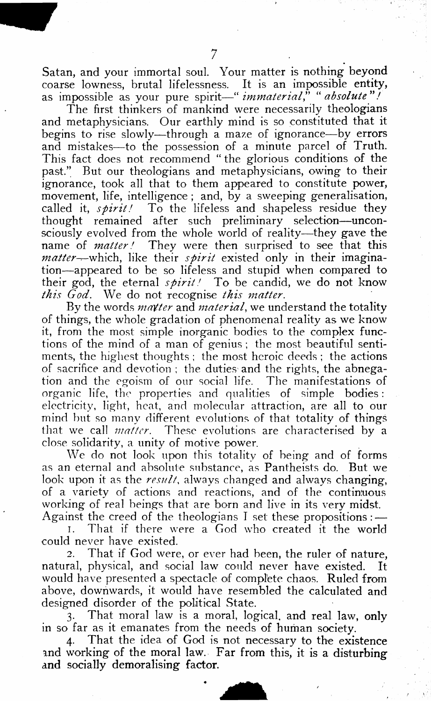Satan, and your immortal soul. Your matter is nothing beyond coarse lowness, brutal lifelessness. It is an impossible entity, as impossible as your pure spirit—" *immaterial*," " *absolute"* !

The first thinkers of mankind were necessarily theologians and metaphysicians. Our earthly mind is so constituted that it begins to rise slowly—through a maze of ignorance—by errors and mistakes—to the possession of a minute parcel of Truth. This fact does not recommend " the glorious conditions of the past." But our theologians and metaphysicians, owing to their ignorance, took all that to them appeared to constitute power, movement, life, intelligence ; and, by a sweeping generalisation, called it,  $\frac{s}{\psi}$  is To the lifeless and shapeless residue they thought remained after such preliminary selection—unconsciously evolved from the whole world of reality—they gave the name of matter! They were then surprised to see that this  $matter$ -which, like their spirit existed only in their imagination—appeared to be so lifeless and stupid when compared to their god, the eternal  $\frac{\rho}{\rho}$  To be candid, we do not know this God. We do not recognise this matter.

By the words *matter* and *material*, we understand the totality of things, the whole gradation of phenomenal reality as we know it, from the most simple inorganic bodies to the complex functions of the mind of a man of genius; the most beautiful sentiments, the highest thoughts ; the most heroic deeds ; the actions of sacrifice and devotion ; the duties and the rights, the abnegation and the egoism of our social life. The manifestations of organic life, the properties and qualities of simple bodies electricity, light, heat, and molecular attraction, are all to our mind but so many different evolutions of that totality of things that we call *matter*. These evolutions are characterised by a close solidarity, a unity of motive power.

We do not look upon this totality of being and of forms as an eternal and absolute substance, as Pantheists do. But we look upon it as the result, always changed and always changing, of a variety of actions and reactions, and of the continiuous working of real beings that are born and live in its very midst. Against the creed of the theologians <sup>T</sup> set these propositions : —

1. That if there were a God who created it the world could never have existed.

2. That if God were, or ever had been, the ruler of nature, natural, physical, and social law could never have existed. It would have presented a spectacle of complete chaos. Ruled from above, downwards, it would have resembled the calculated and designed disorder of the political State.

3. That moral law is a moral, logical, and real law, only in so far as it emanates from the needs of human society.

That the idea of God is not necessary to the existence and working of the moral law. Far from this, it is a disturbing and socially demoralising factor.

the control of the control of the control of the control of the control of